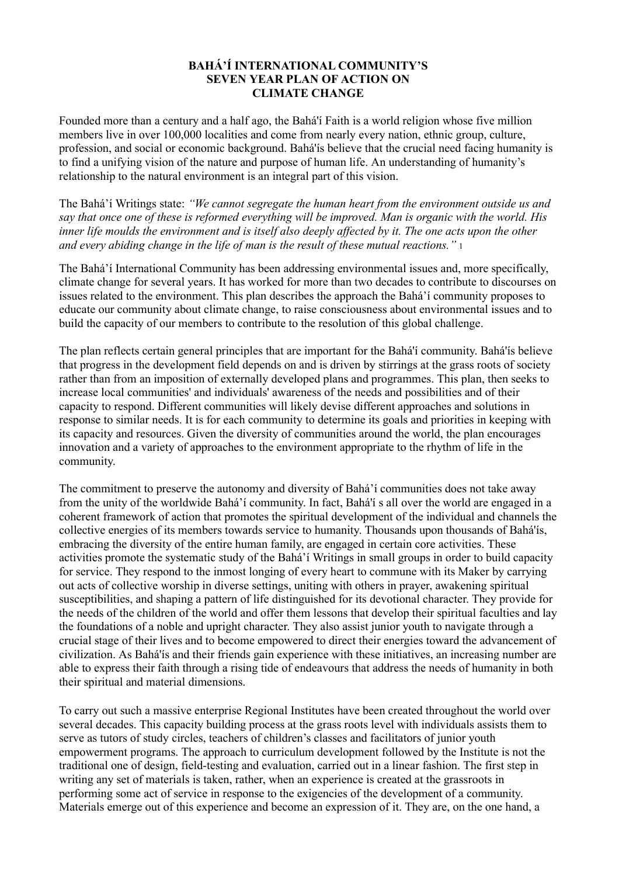## **BAHÁ'Í INTERNATIONAL COMMUNITY'S SEVEN YEAR PLAN OF ACTION ON CLIMATE CHANGE**

Founded more than a century and a half ago, the Bahá'í Faith is a world religion whose five million members live in over 100,000 localities and come from nearly every nation, ethnic group, culture, profession, and social or economic background. Bahá'ís believe that the crucial need facing humanity is to find a unifying vision of the nature and purpose of human life. An understanding of humanity's relationship to the natural environment is an integral part of this vision.

The Bahá'í Writings state: *"We cannot segregate the human heart from the environment outside us and say that once one of these is reformed everything will be improved. Man is organic with the world. His inner life moulds the environment and is itself also deeply affected by it. The one acts upon the other and every abiding change in the life of man is the result of these mutual reactions.*" 1

The Bahá'í International Community has been addressing environmental issues and, more specifically, climate change for several years. It has worked for more than two decades to contribute to discourses on issues related to the environment. This plan describes the approach the Bahá'í community proposes to educate our community about climate change, to raise consciousness about environmental issues and to build the capacity of our members to contribute to the resolution of this global challenge.

The plan reflects certain general principles that are important for the Bahá'í community. Bahá'ís believe that progress in the development field depends on and is driven by stirrings at the grass roots of society rather than from an imposition of externally developed plans and programmes. This plan, then seeks to increase local communities' and individuals' awareness of the needs and possibilities and of their capacity to respond. Different communities will likely devise different approaches and solutions in response to similar needs. It is for each community to determine its goals and priorities in keeping with its capacity and resources. Given the diversity of communities around the world, the plan encourages innovation and a variety of approaches to the environment appropriate to the rhythm of life in the community.

The commitment to preserve the autonomy and diversity of Bahá'í communities does not take away from the unity of the worldwide Bahá'í community. In fact, Bahá'í s all over the world are engaged in a coherent framework of action that promotes the spiritual development of the individual and channels the collective energies of its members towards service to humanity. Thousands upon thousands of Bahá'ís, embracing the diversity of the entire human family, are engaged in certain core activities. These activities promote the systematic study of the Bahá'í Writings in small groups in order to build capacity for service. They respond to the inmost longing of every heart to commune with its Maker by carrying out acts of collective worship in diverse settings, uniting with others in prayer, awakening spiritual susceptibilities, and shaping a pattern of life distinguished for its devotional character. They provide for the needs of the children of the world and offer them lessons that develop their spiritual faculties and lay the foundations of a noble and upright character. They also assist junior youth to navigate through a crucial stage of their lives and to become empowered to direct their energies toward the advancement of civilization. As Bahá'ís and their friends gain experience with these initiatives, an increasing number are able to express their faith through a rising tide of endeavours that address the needs of humanity in both their spiritual and material dimensions.

To carry out such a massive enterprise Regional Institutes have been created throughout the world over several decades. This capacity building process at the grass roots level with individuals assists them to serve as tutors of study circles, teachers of children's classes and facilitators of junior youth empowerment programs. The approach to curriculum development followed by the Institute is not the traditional one of design, field-testing and evaluation, carried out in a linear fashion. The first step in writing any set of materials is taken, rather, when an experience is created at the grassroots in performing some act of service in response to the exigencies of the development of a community. Materials emerge out of this experience and become an expression of it. They are, on the one hand, a